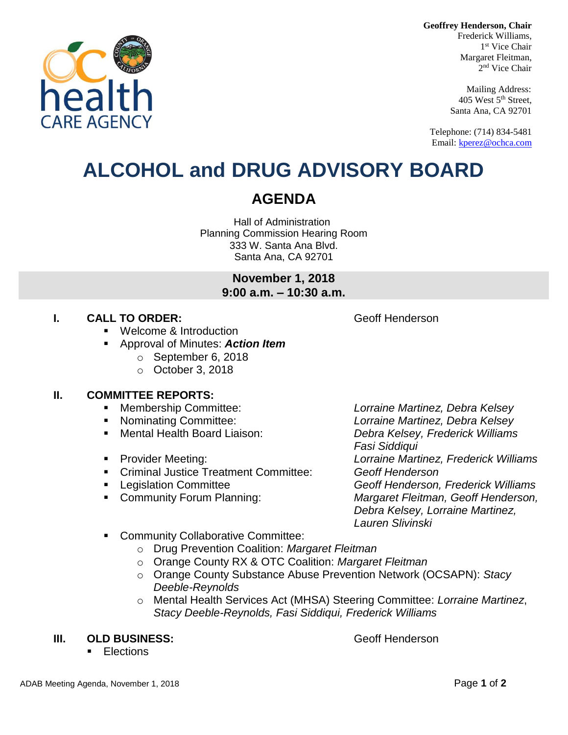**Geoffrey Henderson, Chair**



Mailing Address: 405 West 5th Street, Santa Ana, CA 92701

Telephone: (714) 834-5481 Email[: kperez@ochca.com](mailto:kperez@ochca.com)

## **ALCOHOL and DRUG ADVISORY BOARD**

### **AGENDA**

Hall of Administration Planning Commission Hearing Room 333 W. Santa Ana Blvd. Santa Ana, CA 92701

> **November 1, 2018 9:00 a.m. – 10:30 a.m.**

#### **I. CALL TO ORDER: CALL TO ORDER: CALL ACCESS Geoff Henderson**

- Welcome & Introduction
- Approval of Minutes: *Action Item*
	- o September 6, 2018
	- o October 3, 2018

#### **II. COMMITTEE REPORTS:**

- Membership Committee: *Lorraine Martinez, Debra Kelsey*
- 
- 
- 
- Criminal Justice Treatment Committee: *Geoff Henderson*
- 
- 

 Nominating Committee: *Lorraine Martinez, Debra Kelsey* Mental Health Board Liaison: *Debra Kelsey, Frederick Williams Fasi Siddiqui*  Provider Meeting: *Lorraine Martinez, Frederick Williams* Legislation Committee *Geoff Henderson, Frederick Williams*  Community Forum Planning: *Margaret Fleitman, Geoff Henderson, Debra Kelsey, Lorraine Martinez, Lauren Slivinski*

- **EXECOMMUNITY Collaborative Committee:** 
	- o Drug Prevention Coalition: *Margaret Fleitman*
	- o Orange County RX & OTC Coalition: *Margaret Fleitman*
	- o Orange County Substance Abuse Prevention Network (OCSAPN): *Stacy Deeble-Reynolds*
	- o Mental Health Services Act (MHSA) Steering Committee: *Lorraine Martinez*, *Stacy Deeble-Reynolds, Fasi Siddiqui, Frederick Williams*

#### **III. OLD BUSINESS:** Geoff Henderson

**Elections** 

healt **ARE AGENC**